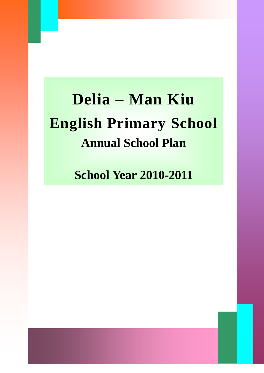# **Delia – Man Kiu English Primary School Annual School Plan**

**School Year 2010-2011**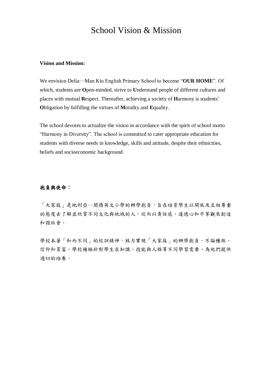### School Vision & Mission

#### **Vision and Mission:**

We envision Delia―Man Kiu English Primary School to become "**OUR HOME**". Of which, students are **O**pen-minded, strive to **U**nderstand people of different cultures and places with mutual **R**espect. Thereafter, achieving a society of **H**armony is students' **O**bligation by fulfilling the virtues of **M**orality and **E**quality.

The school devotes to actualize the vision in accordance with the spirit of school motto "Harmony in Diversity". The school is committed to cater appropriate education for students with diverse needs in knowledge, skills and attitude, despite their ethnicities, beliefs and socioeconomic background.

#### 抱負與使命:

「大家庭」是地利亞–-閩僑英文小學的辦學抱負,旨在培育學生以開放及互相尊重 的態度去了解並欣賞不同文化與地域的人。從而以責任感、道德心和平等觀來創造 和諧社會。

學校本著「和而不同」的校訓精神,致力實現「大家庭」的辦學抱負。不論種族、 信仰和貧富,學校積極針對學生在知識、技能與人格等不同學習需要、為他們提供 適切的培養。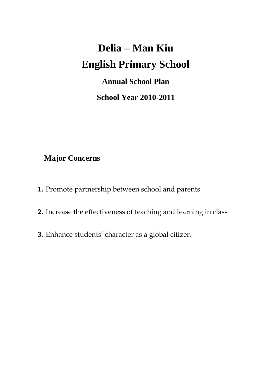# **Delia – Man Kiu English Primary School**

# **Annual School Plan**

**School Year 2010-2011**

## **Major Concerns**

- **1.** Promote partnership between school and parents
- **2.** Increase the effectiveness of teaching and learning in class
- **3.** Enhance students' character as a global citizen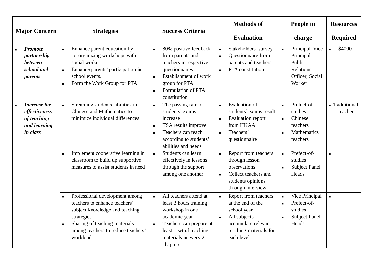| <b>Major Concern</b>                                                            | <b>Strategies</b>                                                                                                                                                                                                        | <b>Success Criteria</b>                                                                                                                                                                                            | <b>Methods</b> of<br><b>Evaluation</b>                                                                                                                                      | People in<br>charge                                                                                                            | <b>Resources</b><br><b>Required</b> |
|---------------------------------------------------------------------------------|--------------------------------------------------------------------------------------------------------------------------------------------------------------------------------------------------------------------------|--------------------------------------------------------------------------------------------------------------------------------------------------------------------------------------------------------------------|-----------------------------------------------------------------------------------------------------------------------------------------------------------------------------|--------------------------------------------------------------------------------------------------------------------------------|-------------------------------------|
| <b>Promote</b><br>partnership<br>between<br>school and<br><i>parents</i>        | Enhance parent education by<br>$\blacksquare$<br>co-organizing workshops with<br>social worker<br>Enhance parents' participation in<br>$\blacksquare$<br>school events.<br>Form the Work Group for PTA<br>$\blacksquare$ | 80% positive feedback<br>$\blacksquare$<br>from parents and<br>teachers in respective<br>questionnaires<br>Establishment of work<br>group for PTA<br>Formulation of PTA<br>constitution                            | Stakeholders' survey<br>$\blacksquare$<br>Questionnaire from<br>$\blacksquare$<br>parents and teachers<br>PTA constitution<br>$\blacksquare$                                | Principal, Vice<br>$\blacksquare$<br>Principal,<br>Public<br>Relations<br>Officer, Social<br>Worker                            | \$4000<br>$\blacksquare$            |
| <b>Increase the</b><br>effectiveness<br>of teaching<br>and learning<br>in class | Streaming students' abilities in<br>$\blacksquare$<br>Chinese and Mathematics to<br>minimize individual differences                                                                                                      | The passing rate of<br>$\blacksquare$<br>students' exams<br>increase<br>TSA results improve<br>٠<br>Teachers can teach<br>$\blacksquare$<br>according to students'<br>abilities and needs                          | <b>Evaluation of</b><br>$\blacksquare$<br>students' exams result<br><b>Evaluation report</b><br>$\blacksquare$<br>from HKAA<br>Teachers'<br>$\blacksquare$<br>questionnaire | Prefect-of-<br>$\blacksquare$<br>studies<br>Chinese<br>$\blacksquare$<br>teachers<br>Mathematics<br>$\blacksquare$<br>teachers | - 1 additional<br>teacher           |
|                                                                                 | Implement cooperative learning in<br>$\blacksquare$<br>classroom to build up supportive<br>measures to assist students in need                                                                                           | Students can learn<br>$\blacksquare$<br>effectively in lessons<br>through the support<br>among one another                                                                                                         | Report from teachers<br>$\blacksquare$<br>through lesson<br>observations<br>Collect teachers and<br>$\blacksquare$<br>students opinions<br>through interview                | Prefect-of-<br>$\blacksquare$<br>studies<br><b>Subject Panel</b><br>Heads                                                      | $\blacksquare$                      |
|                                                                                 | Professional development among<br>$\blacksquare$<br>teachers to enhance teachers'<br>subject knowledge and teaching<br>strategies<br>Sharing of teaching materials<br>among teachers to reduce teachers'<br>workload     | All teachers attend at<br>$\blacksquare$<br>least 3 hours training<br>workshop in one<br>academic year<br>Teachers can prepare at<br>$\blacksquare$<br>least 1 set of teaching<br>materials in every 2<br>chapters | Report from teachers<br>$\blacksquare$<br>at the end of the<br>school year<br>All subjects<br>٠<br>accumulate relevant<br>teaching materials for<br>each level              | Vice Principal<br>$\blacksquare$<br>Prefect-of-<br>$\blacksquare$<br>studies<br><b>Subject Panel</b><br>Heads                  | $\blacksquare$                      |